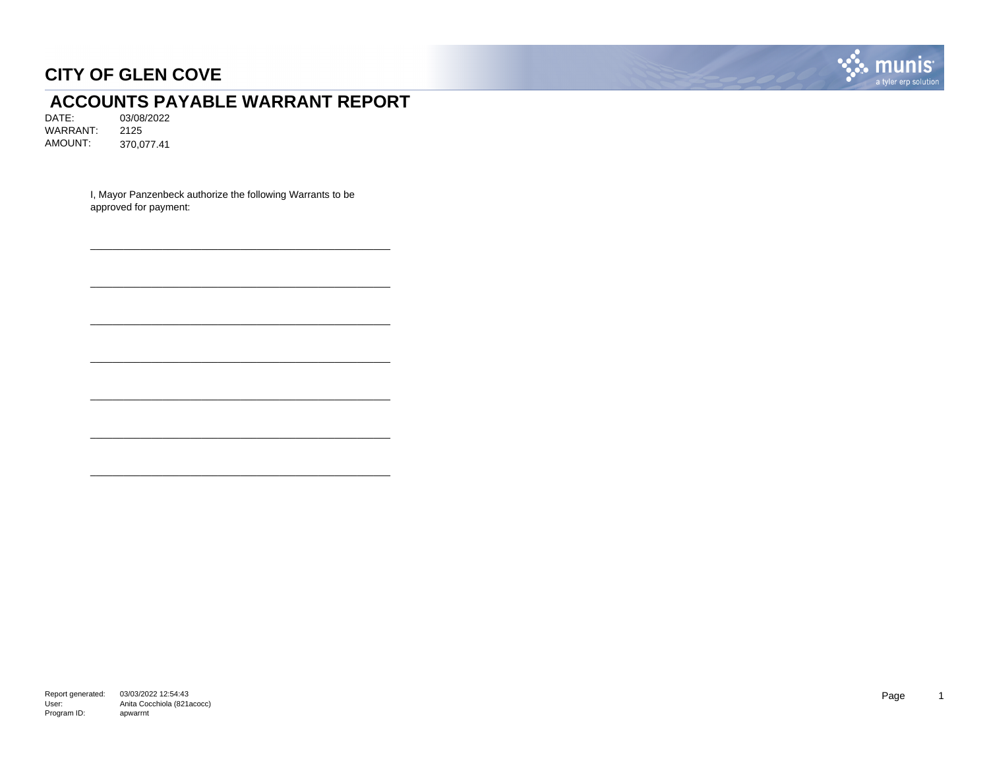

# **ACCOUNTS PAYABLE WARRANT REPORT**<br>DATE: 03/08/2022

03/08/2022 WARRANT: 2125 AMOUNT: 370,077.41

> I, Mayor Panzenbeck authorize the following Warrants to be approved for payment:

\_\_\_\_\_\_\_\_\_\_\_\_\_\_\_\_\_\_\_\_\_\_\_\_\_\_\_\_\_\_\_\_\_\_\_\_\_\_\_\_\_\_\_\_\_\_\_\_\_\_\_\_\_\_

\_\_\_\_\_\_\_\_\_\_\_\_\_\_\_\_\_\_\_\_\_\_\_\_\_\_\_\_\_\_\_\_\_\_\_\_\_\_\_\_\_\_\_\_\_\_\_\_\_\_\_\_\_\_

\_\_\_\_\_\_\_\_\_\_\_\_\_\_\_\_\_\_\_\_\_\_\_\_\_\_\_\_\_\_\_\_\_\_\_\_\_\_\_\_\_\_\_\_\_\_\_\_\_\_\_\_\_\_

\_\_\_\_\_\_\_\_\_\_\_\_\_\_\_\_\_\_\_\_\_\_\_\_\_\_\_\_\_\_\_\_\_\_\_\_\_\_\_\_\_\_\_\_\_\_\_\_\_\_\_\_\_\_

\_\_\_\_\_\_\_\_\_\_\_\_\_\_\_\_\_\_\_\_\_\_\_\_\_\_\_\_\_\_\_\_\_\_\_\_\_\_\_\_\_\_\_\_\_\_\_\_\_\_\_\_\_\_

\_\_\_\_\_\_\_\_\_\_\_\_\_\_\_\_\_\_\_\_\_\_\_\_\_\_\_\_\_\_\_\_\_\_\_\_\_\_\_\_\_\_\_\_\_\_\_\_\_\_\_\_\_\_

\_\_\_\_\_\_\_\_\_\_\_\_\_\_\_\_\_\_\_\_\_\_\_\_\_\_\_\_\_\_\_\_\_\_\_\_\_\_\_\_\_\_\_\_\_\_\_\_\_\_\_\_\_\_

Report generated: 03/03/2022 12:54:43 User: Program ID: Anita Cocchiola (821acocc) apwarrnt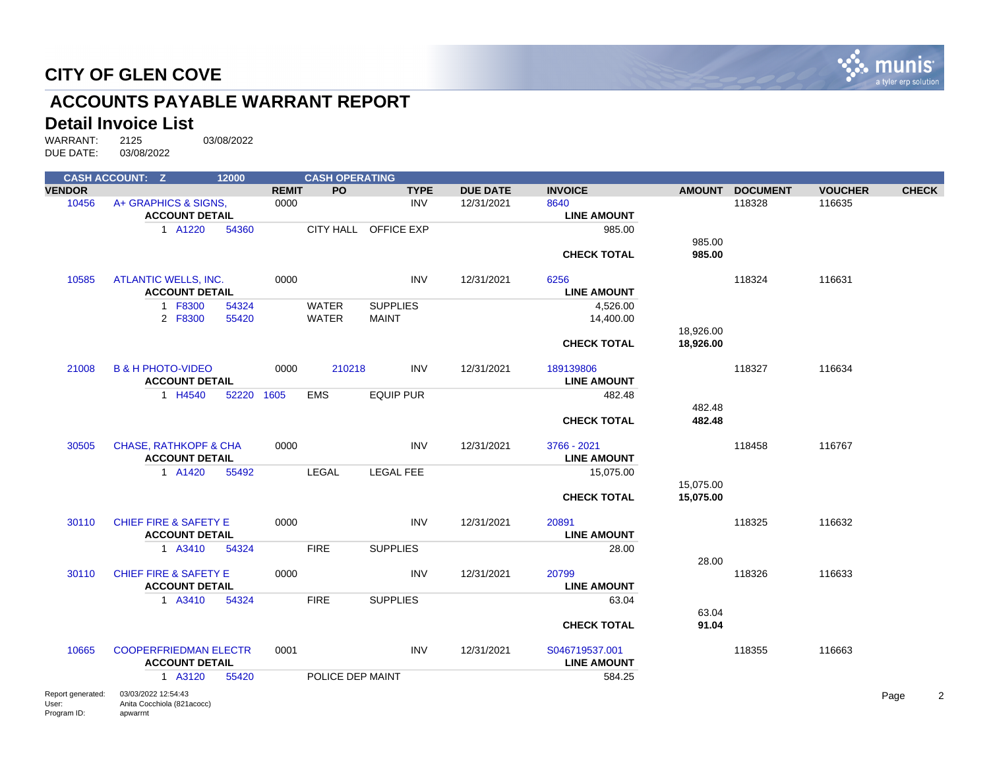

# **ACCOUNTS PAYABLE WARRANT REPORT**

#### **Detail Invoice List**

|                                           | <b>CASH ACCOUNT: Z</b>                                        | 12000      |              | <b>CASH OPERATING</b> |                      |                 |                                      |                        |                 |                |              |
|-------------------------------------------|---------------------------------------------------------------|------------|--------------|-----------------------|----------------------|-----------------|--------------------------------------|------------------------|-----------------|----------------|--------------|
| <b>VENDOR</b>                             |                                                               |            | <b>REMIT</b> | PO                    | <b>TYPE</b>          | <b>DUE DATE</b> | <b>INVOICE</b>                       |                        | AMOUNT DOCUMENT | <b>VOUCHER</b> | <b>CHECK</b> |
| 10456                                     | A+ GRAPHICS & SIGNS.                                          |            | 0000         |                       | <b>INV</b>           | 12/31/2021      | 8640                                 |                        | 118328          | 116635         |              |
|                                           | <b>ACCOUNT DETAIL</b>                                         |            |              |                       |                      |                 | <b>LINE AMOUNT</b>                   |                        |                 |                |              |
|                                           | 1 A1220                                                       | 54360      |              |                       | CITY HALL OFFICE EXP |                 | 985.00                               | 985.00                 |                 |                |              |
|                                           |                                                               |            |              |                       |                      |                 | <b>CHECK TOTAL</b>                   | 985.00                 |                 |                |              |
| 10585                                     | <b>ATLANTIC WELLS, INC.</b>                                   |            | 0000         |                       | <b>INV</b>           | 12/31/2021      | 6256                                 |                        | 118324          | 116631         |              |
|                                           | <b>ACCOUNT DETAIL</b>                                         |            |              |                       |                      |                 | <b>LINE AMOUNT</b>                   |                        |                 |                |              |
|                                           | 1 F8300                                                       | 54324      |              | <b>WATER</b>          | <b>SUPPLIES</b>      |                 | 4,526.00                             |                        |                 |                |              |
|                                           | 2 F8300                                                       | 55420      |              | <b>WATER</b>          | <b>MAINT</b>         |                 | 14,400.00                            |                        |                 |                |              |
|                                           |                                                               |            |              |                       |                      |                 | <b>CHECK TOTAL</b>                   | 18,926.00<br>18,926.00 |                 |                |              |
| 21008                                     | <b>B &amp; H PHOTO-VIDEO</b><br><b>ACCOUNT DETAIL</b>         |            | 0000         | 210218                | <b>INV</b>           | 12/31/2021      | 189139806<br><b>LINE AMOUNT</b>      |                        | 118327          | 116634         |              |
|                                           | 1 H4540                                                       | 52220 1605 |              | <b>EMS</b>            | EQUIP PUR            |                 | 482.48                               |                        |                 |                |              |
|                                           |                                                               |            |              |                       |                      |                 | <b>CHECK TOTAL</b>                   | 482.48<br>482.48       |                 |                |              |
| 30505                                     | <b>CHASE, RATHKOPF &amp; CHA</b><br><b>ACCOUNT DETAIL</b>     |            | 0000         |                       | <b>INV</b>           | 12/31/2021      | 3766 - 2021<br><b>LINE AMOUNT</b>    |                        | 118458          | 116767         |              |
|                                           | 1 A1420                                                       | 55492      |              | <b>LEGAL</b>          | <b>LEGAL FEE</b>     |                 | 15,075.00                            |                        |                 |                |              |
|                                           |                                                               |            |              |                       |                      |                 |                                      | 15,075.00              |                 |                |              |
|                                           |                                                               |            |              |                       |                      |                 | <b>CHECK TOTAL</b>                   | 15,075.00              |                 |                |              |
| 30110                                     | <b>CHIEF FIRE &amp; SAFETY E</b>                              |            | 0000         |                       | <b>INV</b>           | 12/31/2021      | 20891                                |                        | 118325          | 116632         |              |
|                                           | <b>ACCOUNT DETAIL</b>                                         |            |              |                       |                      |                 | <b>LINE AMOUNT</b>                   |                        |                 |                |              |
|                                           | 1 A3410                                                       | 54324      |              | <b>FIRE</b>           | <b>SUPPLIES</b>      |                 | 28.00                                |                        |                 |                |              |
| 30110                                     | <b>CHIEF FIRE &amp; SAFETY E</b>                              |            | 0000         |                       | <b>INV</b>           | 12/31/2021      | 20799                                | 28.00                  | 118326          | 116633         |              |
|                                           | <b>ACCOUNT DETAIL</b>                                         |            |              |                       |                      |                 | <b>LINE AMOUNT</b>                   |                        |                 |                |              |
|                                           | 1 A3410                                                       | 54324      |              | <b>FIRE</b>           | <b>SUPPLIES</b>      |                 | 63.04                                |                        |                 |                |              |
|                                           |                                                               |            |              |                       |                      |                 | <b>CHECK TOTAL</b>                   | 63.04<br>91.04         |                 |                |              |
| 10665                                     | <b>COOPERFRIEDMAN ELECTR</b><br><b>ACCOUNT DETAIL</b>         |            | 0001         |                       | <b>INV</b>           | 12/31/2021      | S046719537.001<br><b>LINE AMOUNT</b> |                        | 118355          | 116663         |              |
|                                           | 1 A3120                                                       | 55420      |              | POLICE DEP MAINT      |                      |                 | 584.25                               |                        |                 |                |              |
| Report generated:<br>User:<br>Program ID: | 03/03/2022 12:54:43<br>Anita Cocchiola (821acocc)<br>apwarrnt |            |              |                       |                      |                 |                                      |                        |                 |                | Page<br>2    |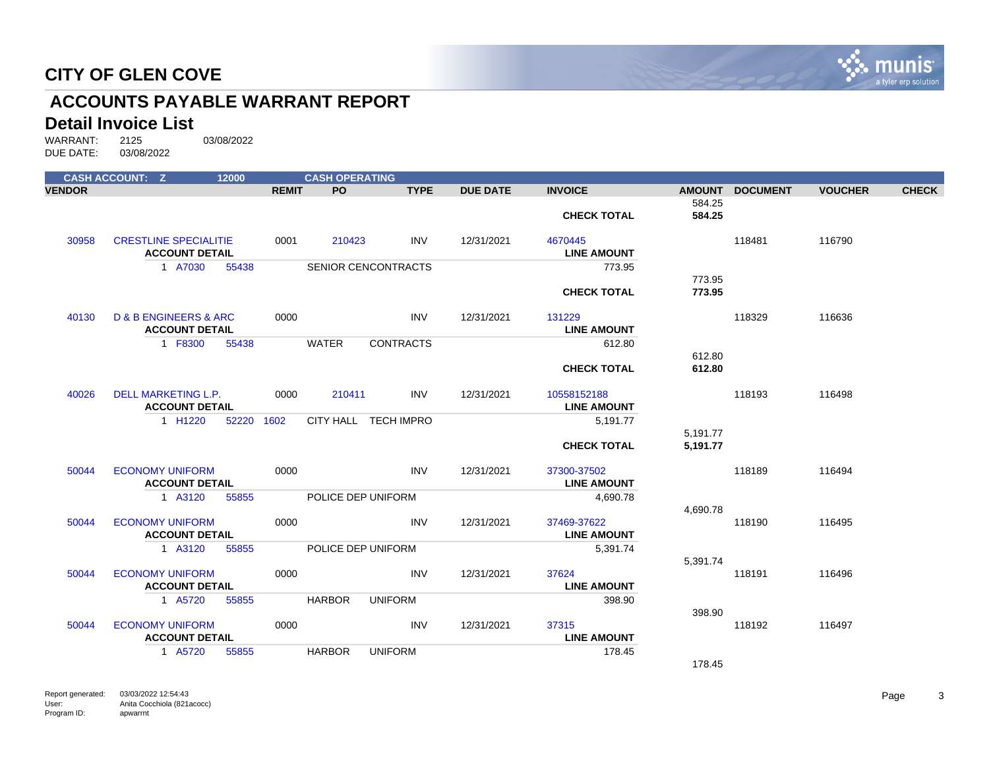

# **ACCOUNTS PAYABLE WARRANT REPORT**

#### **Detail Invoice List**

|               | <b>CASH ACCOUNT: Z</b>                                        | 12000 |              | <b>CASH OPERATING</b> |                            |                 |                                   |                      |                 |                |              |
|---------------|---------------------------------------------------------------|-------|--------------|-----------------------|----------------------------|-----------------|-----------------------------------|----------------------|-----------------|----------------|--------------|
| <b>VENDOR</b> |                                                               |       | <b>REMIT</b> | PO.                   | <b>TYPE</b>                | <b>DUE DATE</b> | <b>INVOICE</b>                    | <b>AMOUNT</b>        | <b>DOCUMENT</b> | <b>VOUCHER</b> | <b>CHECK</b> |
|               |                                                               |       |              |                       |                            |                 | <b>CHECK TOTAL</b>                | 584.25<br>584.25     |                 |                |              |
| 30958         | <b>CRESTLINE SPECIALITIE</b><br><b>ACCOUNT DETAIL</b>         |       | 0001         | 210423                | <b>INV</b>                 | 12/31/2021      | 4670445<br><b>LINE AMOUNT</b>     |                      | 118481          | 116790         |              |
|               | 1 A7030                                                       | 55438 |              |                       | <b>SENIOR CENCONTRACTS</b> |                 | 773.95                            |                      |                 |                |              |
|               |                                                               |       |              |                       |                            |                 | <b>CHECK TOTAL</b>                | 773.95<br>773.95     |                 |                |              |
| 40130         | <b>D &amp; B ENGINEERS &amp; ARC</b><br><b>ACCOUNT DETAIL</b> |       | 0000         |                       | <b>INV</b>                 | 12/31/2021      | 131229<br><b>LINE AMOUNT</b>      |                      | 118329          | 116636         |              |
|               | 1 F8300                                                       | 55438 |              | WATER                 | <b>CONTRACTS</b>           |                 | 612.80                            |                      |                 |                |              |
|               |                                                               |       |              |                       |                            |                 |                                   | 612.80               |                 |                |              |
|               |                                                               |       |              |                       |                            |                 | <b>CHECK TOTAL</b>                | 612.80               |                 |                |              |
| 40026         | DELL MARKETING L.P.<br><b>ACCOUNT DETAIL</b>                  |       | 0000         | 210411                | INV                        | 12/31/2021      | 10558152188<br><b>LINE AMOUNT</b> |                      | 118193          | 116498         |              |
|               | 1 H1220                                                       | 52220 | 1602         |                       | CITY HALL TECH IMPRO       |                 | 5,191.77                          |                      |                 |                |              |
|               |                                                               |       |              |                       |                            |                 | <b>CHECK TOTAL</b>                | 5,191.77<br>5,191.77 |                 |                |              |
| 50044         | <b>ECONOMY UNIFORM</b><br><b>ACCOUNT DETAIL</b>               |       | 0000         |                       | <b>INV</b>                 | 12/31/2021      | 37300-37502<br><b>LINE AMOUNT</b> |                      | 118189          | 116494         |              |
|               | 1 A3120                                                       | 55855 |              |                       | POLICE DEP UNIFORM         |                 | 4,690.78                          |                      |                 |                |              |
|               |                                                               |       |              |                       |                            |                 |                                   | 4,690.78             |                 |                |              |
| 50044         | <b>ECONOMY UNIFORM</b><br><b>ACCOUNT DETAIL</b>               |       | 0000         |                       | <b>INV</b>                 | 12/31/2021      | 37469-37622<br><b>LINE AMOUNT</b> |                      | 118190          | 116495         |              |
|               | 1 A3120                                                       | 55855 |              |                       | POLICE DEP UNIFORM         |                 | 5,391.74                          |                      |                 |                |              |
| 50044         | <b>ECONOMY UNIFORM</b><br><b>ACCOUNT DETAIL</b>               |       | 0000         |                       | <b>INV</b>                 | 12/31/2021      | 37624<br><b>LINE AMOUNT</b>       | 5,391.74             | 118191          | 116496         |              |
|               | 1 A5720                                                       | 55855 |              | <b>HARBOR</b>         | <b>UNIFORM</b>             |                 | 398.90                            |                      |                 |                |              |
|               |                                                               |       |              |                       |                            |                 |                                   | 398.90               |                 |                |              |
| 50044         | <b>ECONOMY UNIFORM</b><br><b>ACCOUNT DETAIL</b>               |       | 0000         |                       | <b>INV</b>                 | 12/31/2021      | 37315<br><b>LINE AMOUNT</b>       |                      | 118192          | 116497         |              |
|               | 1 A5720                                                       | 55855 |              | <b>HARBOR</b>         | <b>UNIFORM</b>             |                 | 178.45                            |                      |                 |                |              |
|               |                                                               |       |              |                       |                            |                 |                                   | 178.45               |                 |                |              |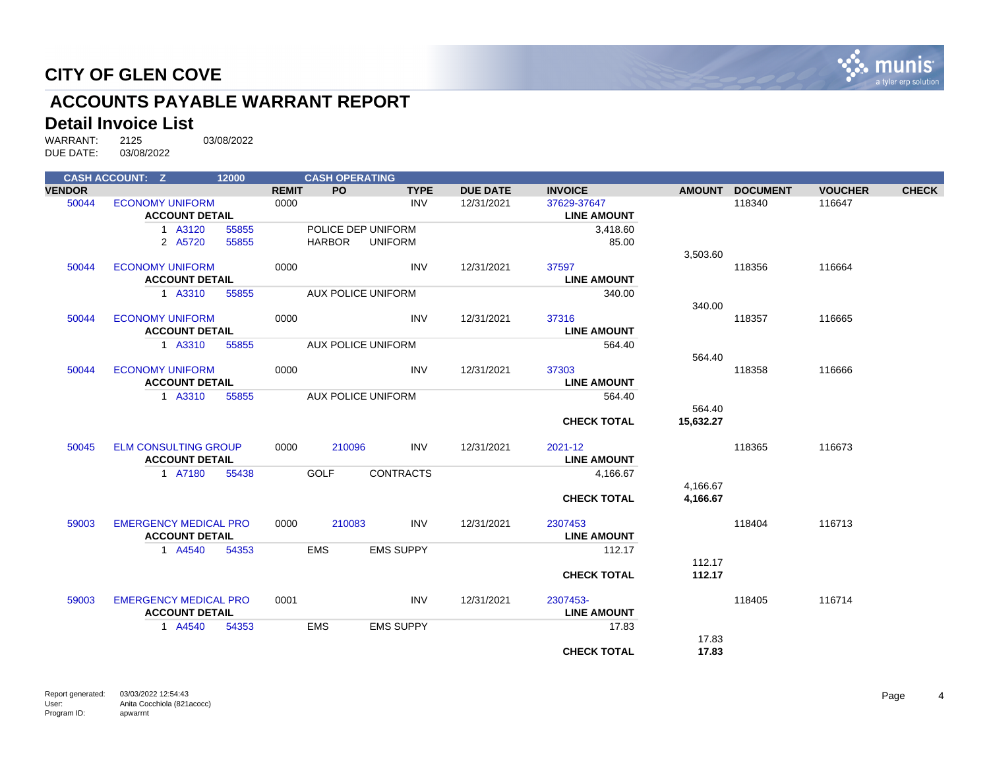

# **ACCOUNTS PAYABLE WARRANT REPORT**

#### **Detail Invoice List**

WARRANT: 2125 03/08/2022 DUE DATE: 03/08/2022

|               | <b>CASH ACCOUNT: Z</b>       | 12000 |              | <b>CASH OPERATING</b> |                           |                 |                    |               |                 |                |              |
|---------------|------------------------------|-------|--------------|-----------------------|---------------------------|-----------------|--------------------|---------------|-----------------|----------------|--------------|
| <b>VENDOR</b> |                              |       | <b>REMIT</b> | PO                    | <b>TYPE</b>               | <b>DUE DATE</b> | <b>INVOICE</b>     | <b>AMOUNT</b> | <b>DOCUMENT</b> | <b>VOUCHER</b> | <b>CHECK</b> |
| 50044         | <b>ECONOMY UNIFORM</b>       |       | 0000         |                       | <b>INV</b>                | 12/31/2021      | 37629-37647        |               | 118340          | 116647         |              |
|               | <b>ACCOUNT DETAIL</b>        |       |              |                       |                           |                 | <b>LINE AMOUNT</b> |               |                 |                |              |
|               | 1 A3120                      | 55855 |              |                       | POLICE DEP UNIFORM        |                 | 3,418.60           |               |                 |                |              |
|               | 2 A5720                      | 55855 |              | HARBOR                | UNIFORM                   |                 | 85.00              |               |                 |                |              |
|               |                              |       |              |                       |                           |                 |                    | 3,503.60      |                 |                |              |
| 50044         | <b>ECONOMY UNIFORM</b>       |       | 0000         |                       | <b>INV</b>                | 12/31/2021      | 37597              |               | 118356          | 116664         |              |
|               | <b>ACCOUNT DETAIL</b>        |       |              |                       |                           |                 | <b>LINE AMOUNT</b> |               |                 |                |              |
|               | 1 A3310                      | 55855 |              |                       | AUX POLICE UNIFORM        |                 | 340.00             |               |                 |                |              |
|               |                              |       |              |                       |                           |                 |                    | 340.00        |                 |                |              |
| 50044         | <b>ECONOMY UNIFORM</b>       |       | 0000         |                       | <b>INV</b>                | 12/31/2021      | 37316              |               | 118357          | 116665         |              |
|               | <b>ACCOUNT DETAIL</b>        |       |              |                       |                           |                 | <b>LINE AMOUNT</b> |               |                 |                |              |
|               | 1 A3310                      | 55855 |              |                       | <b>AUX POLICE UNIFORM</b> |                 | 564.40             |               |                 |                |              |
|               |                              |       |              |                       |                           |                 |                    | 564.40        |                 |                |              |
| 50044         | <b>ECONOMY UNIFORM</b>       |       | 0000         |                       | <b>INV</b>                | 12/31/2021      | 37303              |               | 118358          | 116666         |              |
|               | <b>ACCOUNT DETAIL</b>        |       |              |                       |                           |                 | <b>LINE AMOUNT</b> |               |                 |                |              |
|               | 1 A3310                      | 55855 |              |                       | <b>AUX POLICE UNIFORM</b> |                 | 564.40             |               |                 |                |              |
|               |                              |       |              |                       |                           |                 |                    | 564.40        |                 |                |              |
|               |                              |       |              |                       |                           |                 | <b>CHECK TOTAL</b> | 15.632.27     |                 |                |              |
| 50045         | <b>ELM CONSULTING GROUP</b>  |       | 0000         | 210096                | <b>INV</b>                | 12/31/2021      | 2021-12            |               | 118365          | 116673         |              |
|               | <b>ACCOUNT DETAIL</b>        |       |              |                       |                           |                 | <b>LINE AMOUNT</b> |               |                 |                |              |
|               | 1 A7180                      | 55438 |              | <b>GOLF</b>           | <b>CONTRACTS</b>          |                 | 4,166.67           |               |                 |                |              |
|               |                              |       |              |                       |                           |                 |                    | 4,166.67      |                 |                |              |
|               |                              |       |              |                       |                           |                 | <b>CHECK TOTAL</b> | 4,166.67      |                 |                |              |
|               |                              |       |              |                       |                           |                 |                    |               |                 |                |              |
| 59003         | <b>EMERGENCY MEDICAL PRO</b> |       | 0000         | 210083                | <b>INV</b>                | 12/31/2021      | 2307453            |               | 118404          | 116713         |              |
|               | <b>ACCOUNT DETAIL</b>        |       |              |                       |                           |                 | <b>LINE AMOUNT</b> |               |                 |                |              |
|               | 1 A4540                      | 54353 |              | <b>EMS</b>            | <b>EMS SUPPY</b>          |                 | 112.17             |               |                 |                |              |
|               |                              |       |              |                       |                           |                 |                    | 112.17        |                 |                |              |
|               |                              |       |              |                       |                           |                 | <b>CHECK TOTAL</b> | 112.17        |                 |                |              |
| 59003         | <b>EMERGENCY MEDICAL PRO</b> |       | 0001         |                       | <b>INV</b>                | 12/31/2021      | 2307453-           |               | 118405          | 116714         |              |
|               | <b>ACCOUNT DETAIL</b>        |       |              |                       |                           |                 | <b>LINE AMOUNT</b> |               |                 |                |              |
|               | 1 A4540                      | 54353 |              | <b>EMS</b>            | <b>EMS SUPPY</b>          |                 | 17.83              |               |                 |                |              |
|               |                              |       |              |                       |                           |                 |                    | 17.83         |                 |                |              |
|               |                              |       |              |                       |                           |                 | <b>CHECK TOTAL</b> | 17.83         |                 |                |              |
|               |                              |       |              |                       |                           |                 |                    |               |                 |                |              |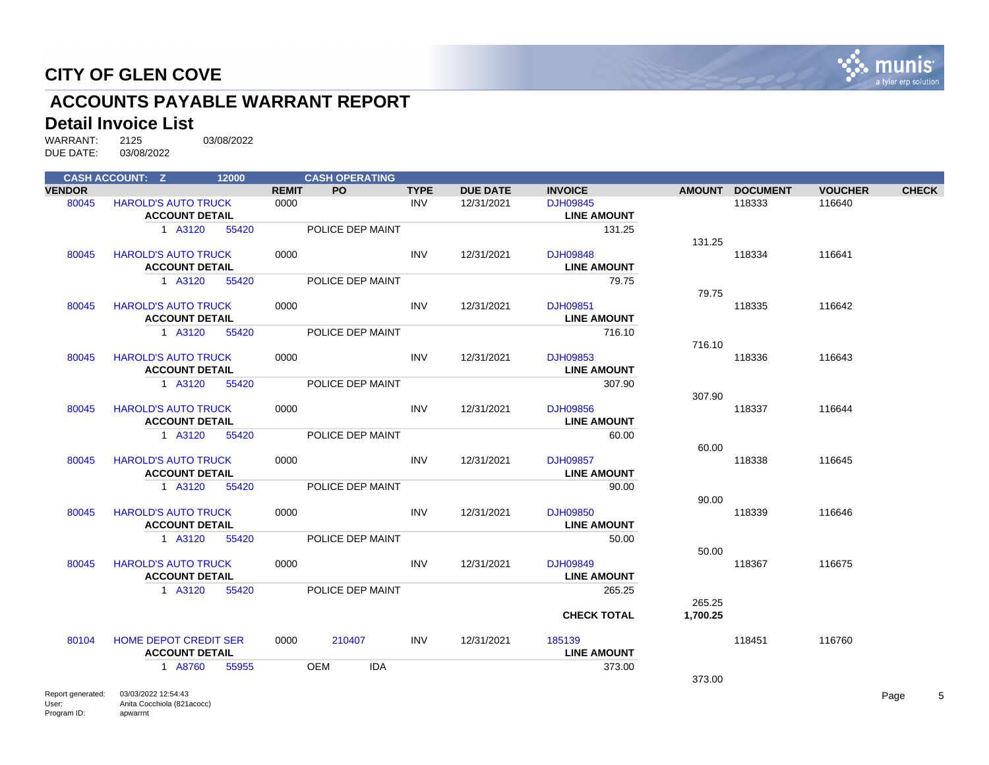

# **ACCOUNTS PAYABLE WARRANT REPORT**

#### **Detail Invoice List**

|               | <b>CASH ACCOUNT: Z</b>                                | 12000 |              | <b>CASH OPERATING</b>    |             |                 |                                       |          |                 |                |              |
|---------------|-------------------------------------------------------|-------|--------------|--------------------------|-------------|-----------------|---------------------------------------|----------|-----------------|----------------|--------------|
| <b>VENDOR</b> |                                                       |       | <b>REMIT</b> | PO.                      | <b>TYPE</b> | <b>DUE DATE</b> | <b>INVOICE</b>                        |          | AMOUNT DOCUMENT | <b>VOUCHER</b> | <b>CHECK</b> |
| 80045         | <b>HAROLD'S AUTO TRUCK</b><br><b>ACCOUNT DETAIL</b>   |       | 0000         |                          | <b>INV</b>  | 12/31/2021      | <b>DJH09845</b><br><b>LINE AMOUNT</b> |          | 118333          | 116640         |              |
|               | 1 A3120                                               | 55420 |              | POLICE DEP MAINT         |             |                 | 131.25                                | 131.25   |                 |                |              |
| 80045         | <b>HAROLD'S AUTO TRUCK</b><br><b>ACCOUNT DETAIL</b>   |       | 0000         |                          | <b>INV</b>  | 12/31/2021      | DJH09848<br><b>LINE AMOUNT</b>        |          | 118334          | 116641         |              |
|               | 1 A3120                                               | 55420 |              | POLICE DEP MAINT         |             |                 | 79.75                                 | 79.75    |                 |                |              |
| 80045         | <b>HAROLD'S AUTO TRUCK</b><br><b>ACCOUNT DETAIL</b>   |       | 0000         |                          | <b>INV</b>  | 12/31/2021      | DJH09851<br><b>LINE AMOUNT</b>        |          | 118335          | 116642         |              |
|               | 1 A3120                                               | 55420 |              | POLICE DEP MAINT         |             |                 | 716.10                                | 716.10   |                 |                |              |
| 80045         | <b>HAROLD'S AUTO TRUCK</b><br><b>ACCOUNT DETAIL</b>   |       | 0000         |                          | <b>INV</b>  | 12/31/2021      | DJH09853<br><b>LINE AMOUNT</b>        |          | 118336          | 116643         |              |
|               | 1 A3120                                               | 55420 |              | POLICE DEP MAINT         |             |                 | 307.90                                | 307.90   |                 |                |              |
| 80045         | <b>HAROLD'S AUTO TRUCK</b><br><b>ACCOUNT DETAIL</b>   |       | 0000         |                          | <b>INV</b>  | 12/31/2021      | <b>DJH09856</b><br><b>LINE AMOUNT</b> |          | 118337          | 116644         |              |
|               | 1 A3120                                               | 55420 |              | POLICE DEP MAINT         |             |                 | 60.00                                 | 60.00    |                 |                |              |
| 80045         | <b>HAROLD'S AUTO TRUCK</b><br><b>ACCOUNT DETAIL</b>   |       | 0000         |                          | <b>INV</b>  | 12/31/2021      | DJH09857<br><b>LINE AMOUNT</b>        |          | 118338          | 116645         |              |
|               | 1 A3120                                               | 55420 |              | POLICE DEP MAINT         |             |                 | 90.00                                 | 90.00    |                 |                |              |
| 80045         | <b>HAROLD'S AUTO TRUCK</b><br><b>ACCOUNT DETAIL</b>   |       | 0000         |                          | <b>INV</b>  | 12/31/2021      | DJH09850<br><b>LINE AMOUNT</b>        |          | 118339          | 116646         |              |
|               | 1 A3120                                               | 55420 |              | POLICE DEP MAINT         |             |                 | 50.00                                 | 50.00    |                 |                |              |
| 80045         | <b>HAROLD'S AUTO TRUCK</b><br><b>ACCOUNT DETAIL</b>   |       | 0000         |                          | <b>INV</b>  | 12/31/2021      | DJH09849<br><b>LINE AMOUNT</b>        |          | 118367          | 116675         |              |
|               | 1 A3120                                               | 55420 |              | POLICE DEP MAINT         |             |                 | 265.25                                | 265.25   |                 |                |              |
|               |                                                       |       |              |                          |             |                 | <b>CHECK TOTAL</b>                    | 1,700.25 |                 |                |              |
| 80104         | <b>HOME DEPOT CREDIT SER</b><br><b>ACCOUNT DETAIL</b> |       | 0000         | 210407                   | INV         | 12/31/2021      | 185139<br><b>LINE AMOUNT</b>          |          | 118451          | 116760         |              |
|               | 1 A8760                                               | 55955 |              | <b>OEM</b><br><b>IDA</b> |             |                 | 373.00                                | 373.00   |                 |                |              |
|               |                                                       |       |              |                          |             |                 |                                       |          |                 |                |              |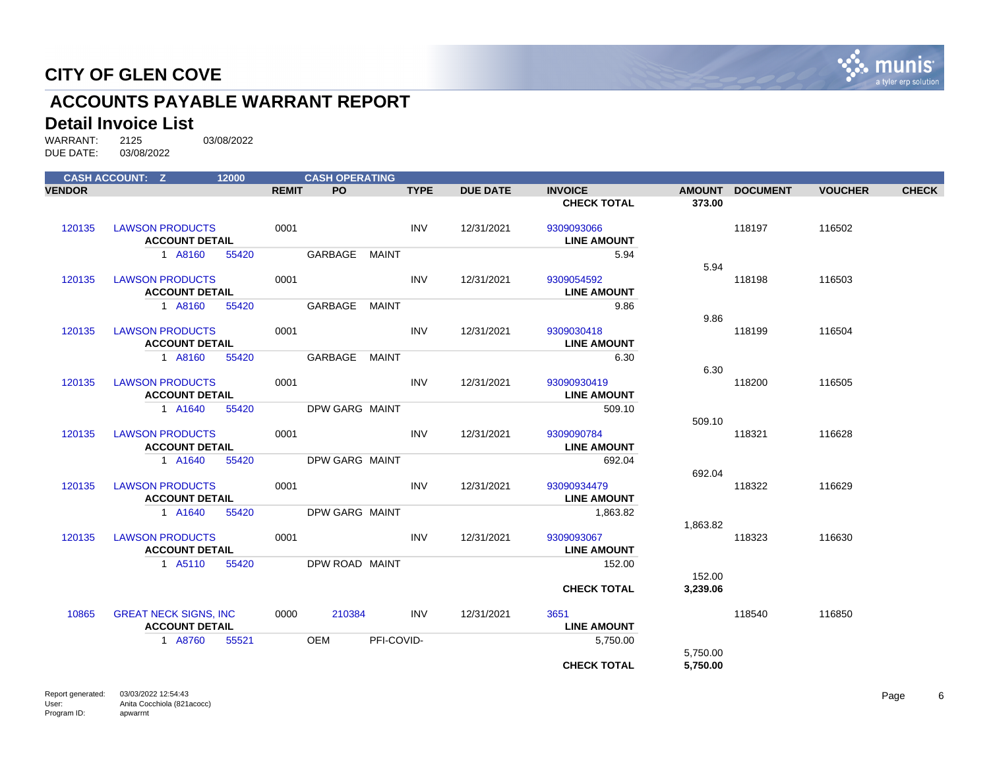

# **ACCOUNTS PAYABLE WARRANT REPORT**

#### **Detail Invoice List**

|               | <b>CASH ACCOUNT: Z</b>                                | 12000 |              | <b>CASH OPERATING</b> |              |             |                 |                                   |          |                 |                |              |
|---------------|-------------------------------------------------------|-------|--------------|-----------------------|--------------|-------------|-----------------|-----------------------------------|----------|-----------------|----------------|--------------|
| <b>VENDOR</b> |                                                       |       | <b>REMIT</b> | <b>PO</b>             |              | <b>TYPE</b> | <b>DUE DATE</b> | <b>INVOICE</b>                    |          | AMOUNT DOCUMENT | <b>VOUCHER</b> | <b>CHECK</b> |
|               |                                                       |       |              |                       |              |             |                 | <b>CHECK TOTAL</b>                | 373.00   |                 |                |              |
| 120135        | <b>LAWSON PRODUCTS</b><br><b>ACCOUNT DETAIL</b>       |       | 0001         |                       |              | <b>INV</b>  | 12/31/2021      | 9309093066<br><b>LINE AMOUNT</b>  |          | 118197          | 116502         |              |
|               | 1 A8160                                               | 55420 |              | GARBAGE MAINT         |              |             |                 | 5.94                              | 5.94     |                 |                |              |
| 120135        | <b>LAWSON PRODUCTS</b><br><b>ACCOUNT DETAIL</b>       |       | 0001         |                       |              | <b>INV</b>  | 12/31/2021      | 9309054592<br><b>LINE AMOUNT</b>  |          | 118198          | 116503         |              |
|               | 1 A8160                                               | 55420 |              | GARBAGE               | <b>MAINT</b> |             |                 | 9.86                              |          |                 |                |              |
| 120135        | <b>LAWSON PRODUCTS</b><br><b>ACCOUNT DETAIL</b>       |       | 0001         |                       |              | <b>INV</b>  | 12/31/2021      | 9309030418<br><b>LINE AMOUNT</b>  | 9.86     | 118199          | 116504         |              |
|               | 1 A8160                                               | 55420 |              | GARBAGE MAINT         |              |             |                 | 6.30                              | 6.30     |                 |                |              |
| 120135        | <b>LAWSON PRODUCTS</b><br><b>ACCOUNT DETAIL</b>       |       | 0001         |                       |              | <b>INV</b>  | 12/31/2021      | 93090930419<br><b>LINE AMOUNT</b> |          | 118200          | 116505         |              |
|               | 1 A1640                                               | 55420 |              | DPW GARG MAINT        |              |             |                 | 509.10                            | 509.10   |                 |                |              |
| 120135        | <b>LAWSON PRODUCTS</b><br><b>ACCOUNT DETAIL</b>       |       | 0001         |                       |              | <b>INV</b>  | 12/31/2021      | 9309090784<br><b>LINE AMOUNT</b>  |          | 118321          | 116628         |              |
|               | 1 A1640                                               | 55420 |              | DPW GARG MAINT        |              |             |                 | 692.04                            | 692.04   |                 |                |              |
| 120135        | <b>LAWSON PRODUCTS</b><br><b>ACCOUNT DETAIL</b>       |       | 0001         |                       |              | <b>INV</b>  | 12/31/2021      | 93090934479<br><b>LINE AMOUNT</b> |          | 118322          | 116629         |              |
|               | 1 A1640                                               | 55420 |              | <b>DPW GARG MAINT</b> |              |             |                 | 1,863.82                          | 1,863.82 |                 |                |              |
| 120135        | <b>LAWSON PRODUCTS</b><br><b>ACCOUNT DETAIL</b>       |       | 0001         |                       |              | <b>INV</b>  | 12/31/2021      | 9309093067<br><b>LINE AMOUNT</b>  |          | 118323          | 116630         |              |
|               | 1 A5110                                               | 55420 |              | DPW ROAD MAINT        |              |             |                 | 152.00                            | 152.00   |                 |                |              |
|               |                                                       |       |              |                       |              |             |                 | <b>CHECK TOTAL</b>                | 3,239.06 |                 |                |              |
| 10865         | <b>GREAT NECK SIGNS, INC</b><br><b>ACCOUNT DETAIL</b> |       | 0000         | 210384                |              | <b>INV</b>  | 12/31/2021      | 3651<br><b>LINE AMOUNT</b>        |          | 118540          | 116850         |              |
|               | 1 A8760                                               | 55521 |              | OEM                   | PFI-COVID-   |             |                 | 5,750.00                          | 5,750.00 |                 |                |              |
|               |                                                       |       |              |                       |              |             |                 | <b>CHECK TOTAL</b>                | 5,750.00 |                 |                |              |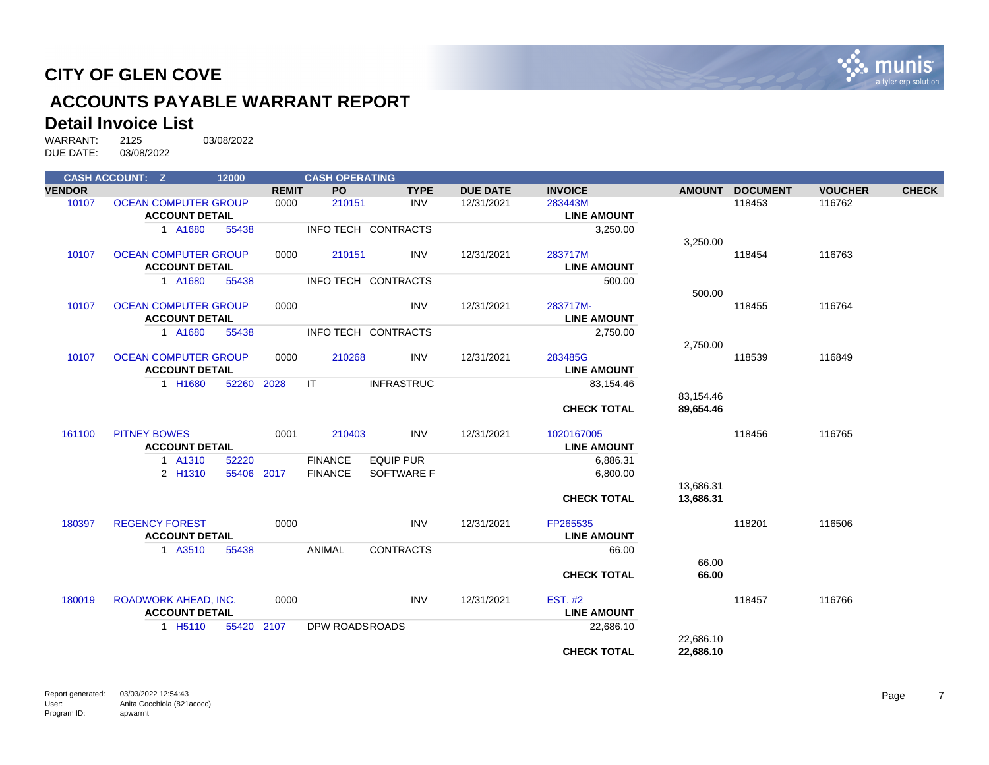

# **ACCOUNTS PAYABLE WARRANT REPORT**

#### **Detail Invoice List**

|               | <b>CASH ACCOUNT: Z</b>      | 12000      |              | <b>CASH OPERATING</b> |                     |                 |                    |               |                 |                |              |
|---------------|-----------------------------|------------|--------------|-----------------------|---------------------|-----------------|--------------------|---------------|-----------------|----------------|--------------|
| <b>VENDOR</b> |                             |            | <b>REMIT</b> | <b>PO</b>             | <b>TYPE</b>         | <b>DUE DATE</b> | <b>INVOICE</b>     | <b>AMOUNT</b> | <b>DOCUMENT</b> | <b>VOUCHER</b> | <b>CHECK</b> |
| 10107         | <b>OCEAN COMPUTER GROUP</b> |            | 0000         | 210151                | <b>INV</b>          | 12/31/2021      | 283443M            |               | 118453          | 116762         |              |
|               | <b>ACCOUNT DETAIL</b>       |            |              |                       |                     |                 | <b>LINE AMOUNT</b> |               |                 |                |              |
|               | 1 A1680                     | 55438      |              |                       | INFO TECH CONTRACTS |                 | 3,250.00           |               |                 |                |              |
|               |                             |            |              |                       |                     |                 |                    | 3,250.00      |                 |                |              |
| 10107         | <b>OCEAN COMPUTER GROUP</b> |            | 0000         | 210151                | <b>INV</b>          | 12/31/2021      | 283717M            |               | 118454          | 116763         |              |
|               | <b>ACCOUNT DETAIL</b>       |            |              |                       |                     |                 | <b>LINE AMOUNT</b> |               |                 |                |              |
|               | 1 A1680                     | 55438      |              |                       | INFO TECH CONTRACTS |                 | 500.00             |               |                 |                |              |
|               |                             |            |              |                       |                     |                 |                    | 500.00        |                 |                |              |
| 10107         | <b>OCEAN COMPUTER GROUP</b> |            | 0000         |                       | <b>INV</b>          | 12/31/2021      | 283717M-           |               | 118455          | 116764         |              |
|               | <b>ACCOUNT DETAIL</b>       |            |              |                       |                     |                 | <b>LINE AMOUNT</b> |               |                 |                |              |
|               | 1 A1680                     | 55438      |              |                       | INFO TECH CONTRACTS |                 | 2,750.00           |               |                 |                |              |
|               |                             |            |              |                       |                     |                 |                    | 2,750.00      |                 |                |              |
| 10107         | <b>OCEAN COMPUTER GROUP</b> |            | 0000         | 210268                | <b>INV</b>          | 12/31/2021      | 283485G            |               | 118539          | 116849         |              |
|               | <b>ACCOUNT DETAIL</b>       |            |              |                       |                     |                 | <b>LINE AMOUNT</b> |               |                 |                |              |
|               | 1 H1680                     | 52260 2028 |              | IT                    | <b>INFRASTRUC</b>   |                 | 83,154.46          |               |                 |                |              |
|               |                             |            |              |                       |                     |                 |                    | 83,154.46     |                 |                |              |
|               |                             |            |              |                       |                     |                 | <b>CHECK TOTAL</b> | 89,654.46     |                 |                |              |
| 161100        | <b>PITNEY BOWES</b>         |            | 0001         | 210403                | <b>INV</b>          | 12/31/2021      | 1020167005         |               | 118456          | 116765         |              |
|               | <b>ACCOUNT DETAIL</b>       |            |              |                       |                     |                 | <b>LINE AMOUNT</b> |               |                 |                |              |
|               | 1 A1310                     | 52220      |              | <b>FINANCE</b>        | <b>EQUIP PUR</b>    |                 | 6,886.31           |               |                 |                |              |
|               | 2 H1310                     | 55406 2017 |              | <b>FINANCE</b>        | SOFTWARE F          |                 | 6,800.00           |               |                 |                |              |
|               |                             |            |              |                       |                     |                 |                    | 13,686.31     |                 |                |              |
|               |                             |            |              |                       |                     |                 | <b>CHECK TOTAL</b> | 13,686.31     |                 |                |              |
|               |                             |            |              |                       |                     |                 |                    |               |                 |                |              |
| 180397        | <b>REGENCY FOREST</b>       |            | 0000         |                       | <b>INV</b>          | 12/31/2021      | FP265535           |               | 118201          | 116506         |              |
|               | <b>ACCOUNT DETAIL</b>       |            |              |                       |                     |                 | <b>LINE AMOUNT</b> |               |                 |                |              |
|               | 1 A3510                     | 55438      |              | ANIMAL                | <b>CONTRACTS</b>    |                 | 66.00              |               |                 |                |              |
|               |                             |            |              |                       |                     |                 |                    | 66.00         |                 |                |              |
|               |                             |            |              |                       |                     |                 | <b>CHECK TOTAL</b> | 66.00         |                 |                |              |
| 180019        | <b>ROADWORK AHEAD, INC.</b> |            | 0000         |                       | <b>INV</b>          | 12/31/2021      | <b>EST. #2</b>     |               | 118457          | 116766         |              |
|               | <b>ACCOUNT DETAIL</b>       |            |              |                       |                     |                 | <b>LINE AMOUNT</b> |               |                 |                |              |
|               | 1 H <sub>5</sub> 110        | 55420      | 2107         | DPW ROADSROADS        |                     |                 | 22,686.10          |               |                 |                |              |
|               |                             |            |              |                       |                     |                 |                    | 22,686.10     |                 |                |              |
|               |                             |            |              |                       |                     |                 | <b>CHECK TOTAL</b> | 22,686.10     |                 |                |              |
|               |                             |            |              |                       |                     |                 |                    |               |                 |                |              |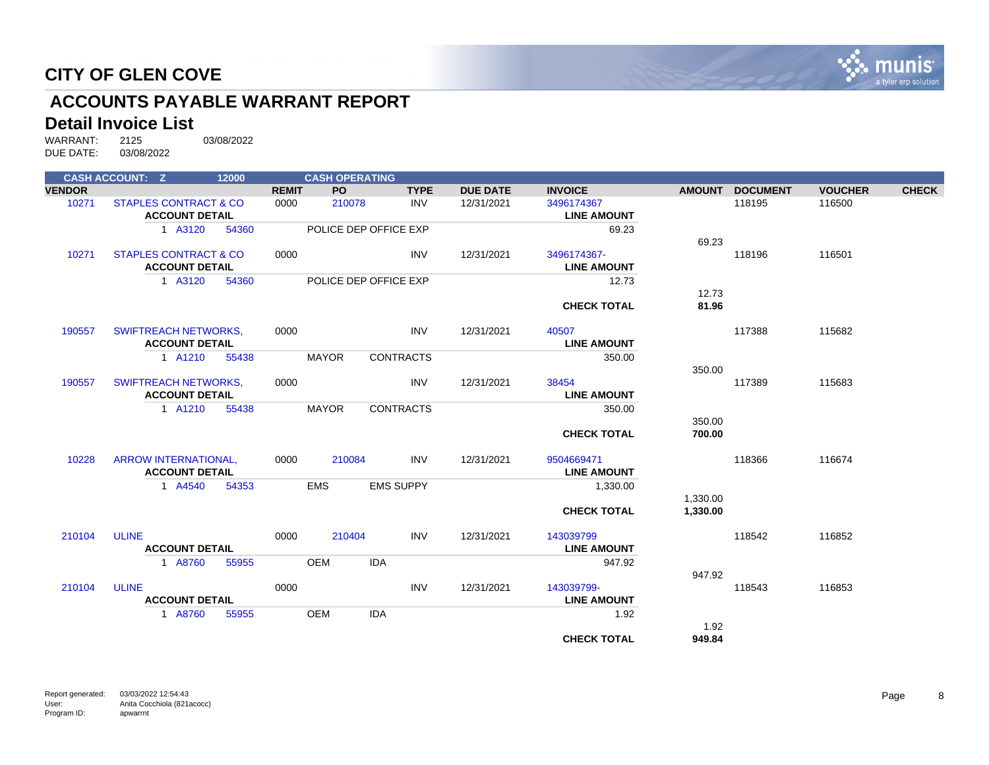

# **ACCOUNTS PAYABLE WARRANT REPORT**

#### **Detail Invoice List**

|               | <b>CASH ACCOUNT: Z</b>                               | 12000 |              | <b>CASH OPERATING</b> |                       |                 |                                   |                      |                 |                |              |
|---------------|------------------------------------------------------|-------|--------------|-----------------------|-----------------------|-----------------|-----------------------------------|----------------------|-----------------|----------------|--------------|
| <b>VENDOR</b> |                                                      |       | <b>REMIT</b> | PO                    | <b>TYPE</b>           | <b>DUE DATE</b> | <b>INVOICE</b>                    | <b>AMOUNT</b>        | <b>DOCUMENT</b> | <b>VOUCHER</b> | <b>CHECK</b> |
| 10271         | STAPLES CONTRACT & CO<br><b>ACCOUNT DETAIL</b>       |       | 0000         | 210078                | <b>INV</b>            | 12/31/2021      | 3496174367<br><b>LINE AMOUNT</b>  |                      | 118195          | 116500         |              |
|               | 1 A3120                                              | 54360 |              |                       | POLICE DEP OFFICE EXP |                 | 69.23                             | 69.23                |                 |                |              |
| 10271         | STAPLES CONTRACT & CO<br><b>ACCOUNT DETAIL</b>       |       | 0000         |                       | <b>INV</b>            | 12/31/2021      | 3496174367-<br><b>LINE AMOUNT</b> |                      | 118196          | 116501         |              |
|               | 1 A3120                                              | 54360 |              |                       | POLICE DEP OFFICE EXP |                 | 12.73                             | 12.73                |                 |                |              |
|               |                                                      |       |              |                       |                       |                 | <b>CHECK TOTAL</b>                | 81.96                |                 |                |              |
| 190557        | <b>SWIFTREACH NETWORKS,</b><br><b>ACCOUNT DETAIL</b> |       | 0000         |                       | <b>INV</b>            | 12/31/2021      | 40507<br><b>LINE AMOUNT</b>       |                      | 117388          | 115682         |              |
|               | 1 A1210                                              | 55438 |              | <b>MAYOR</b>          | <b>CONTRACTS</b>      |                 | 350.00                            | 350.00               |                 |                |              |
| 190557        | <b>SWIFTREACH NETWORKS,</b><br><b>ACCOUNT DETAIL</b> |       | 0000         |                       | <b>INV</b>            | 12/31/2021      | 38454<br><b>LINE AMOUNT</b>       |                      | 117389          | 115683         |              |
|               | 1 A1210                                              | 55438 |              | <b>MAYOR</b>          | <b>CONTRACTS</b>      |                 | 350.00                            | 350.00               |                 |                |              |
|               |                                                      |       |              |                       |                       |                 | <b>CHECK TOTAL</b>                | 700.00               |                 |                |              |
| 10228         | ARROW INTERNATIONAL,<br><b>ACCOUNT DETAIL</b>        |       | 0000         | 210084                | <b>INV</b>            | 12/31/2021      | 9504669471<br><b>LINE AMOUNT</b>  |                      | 118366          | 116674         |              |
|               | 1 A4540                                              | 54353 |              | <b>EMS</b>            | <b>EMS SUPPY</b>      |                 | 1,330.00                          |                      |                 |                |              |
|               |                                                      |       |              |                       |                       |                 | <b>CHECK TOTAL</b>                | 1,330.00<br>1,330.00 |                 |                |              |
| 210104        | <b>ULINE</b><br><b>ACCOUNT DETAIL</b>                |       | 0000         | 210404                | <b>INV</b>            | 12/31/2021      | 143039799<br><b>LINE AMOUNT</b>   |                      | 118542          | 116852         |              |
|               | 1 A8760                                              | 55955 |              | <b>OEM</b>            | <b>IDA</b>            |                 | 947.92                            |                      |                 |                |              |
| 210104        | <b>ULINE</b><br><b>ACCOUNT DETAIL</b>                |       | 0000         |                       | <b>INV</b>            | 12/31/2021      | 143039799-<br><b>LINE AMOUNT</b>  | 947.92               | 118543          | 116853         |              |
|               | 1 A8760                                              | 55955 |              | <b>OEM</b>            | <b>IDA</b>            |                 | 1.92                              |                      |                 |                |              |
|               |                                                      |       |              |                       |                       |                 | <b>CHECK TOTAL</b>                | 1.92<br>949.84       |                 |                |              |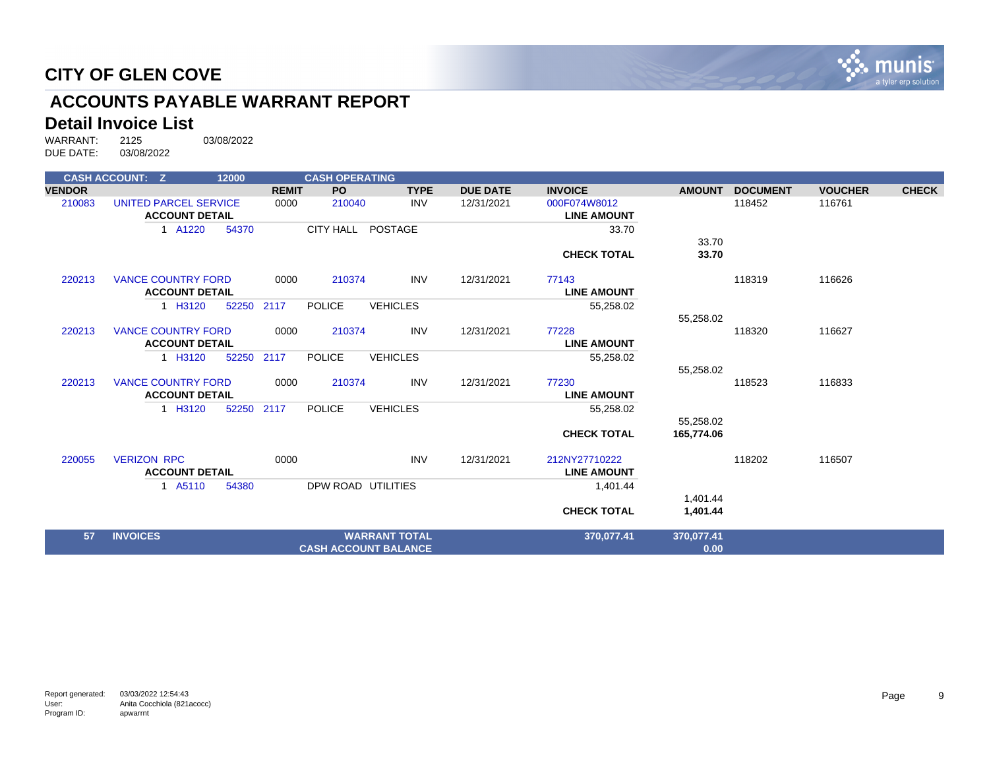

# **ACCOUNTS PAYABLE WARRANT REPORT**

#### **Detail Invoice List**

|               | <b>CASH ACCOUNT: Z</b>    | 12000 |              | <b>CASH OPERATING</b> |                             |                 |                    |               |                 |                |              |
|---------------|---------------------------|-------|--------------|-----------------------|-----------------------------|-----------------|--------------------|---------------|-----------------|----------------|--------------|
| <b>VENDOR</b> |                           |       | <b>REMIT</b> | <b>PO</b>             | <b>TYPE</b>                 | <b>DUE DATE</b> | <b>INVOICE</b>     | <b>AMOUNT</b> | <b>DOCUMENT</b> | <b>VOUCHER</b> | <b>CHECK</b> |
| 210083        | UNITED PARCEL SERVICE     |       | 0000         | 210040                | <b>INV</b>                  | 12/31/2021      | 000F074W8012       |               | 118452          | 116761         |              |
|               | <b>ACCOUNT DETAIL</b>     |       |              |                       |                             |                 | <b>LINE AMOUNT</b> |               |                 |                |              |
|               | 1 A1220                   | 54370 |              | <b>CITY HALL</b>      | POSTAGE                     |                 | 33.70              |               |                 |                |              |
|               |                           |       |              |                       |                             |                 |                    | 33.70         |                 |                |              |
|               |                           |       |              |                       |                             |                 | <b>CHECK TOTAL</b> | 33.70         |                 |                |              |
| 220213        | <b>VANCE COUNTRY FORD</b> |       | 0000         | 210374                | <b>INV</b>                  | 12/31/2021      | 77143              |               | 118319          | 116626         |              |
|               | <b>ACCOUNT DETAIL</b>     |       |              |                       |                             |                 | <b>LINE AMOUNT</b> |               |                 |                |              |
|               | 1 H3120                   | 52250 | 2117         | <b>POLICE</b>         | <b>VEHICLES</b>             |                 | 55,258.02          |               |                 |                |              |
|               |                           |       |              |                       |                             |                 |                    | 55,258.02     |                 |                |              |
| 220213        | <b>VANCE COUNTRY FORD</b> |       | 0000         | 210374                | <b>INV</b>                  | 12/31/2021      | 77228              |               | 118320          | 116627         |              |
|               | <b>ACCOUNT DETAIL</b>     |       |              |                       |                             |                 | <b>LINE AMOUNT</b> |               |                 |                |              |
|               | 1 H3120                   | 52250 | 2117         | <b>POLICE</b>         | <b>VEHICLES</b>             |                 | 55,258.02          |               |                 |                |              |
|               |                           |       |              |                       |                             |                 |                    | 55,258.02     |                 |                |              |
| 220213        | <b>VANCE COUNTRY FORD</b> |       | 0000         | 210374                | <b>INV</b>                  | 12/31/2021      | 77230              |               | 118523          | 116833         |              |
|               | <b>ACCOUNT DETAIL</b>     |       |              |                       |                             |                 | <b>LINE AMOUNT</b> |               |                 |                |              |
|               | 1 H3120                   | 52250 | 2117         | <b>POLICE</b>         | <b>VEHICLES</b>             |                 | 55,258.02          |               |                 |                |              |
|               |                           |       |              |                       |                             |                 |                    | 55,258.02     |                 |                |              |
|               |                           |       |              |                       |                             |                 | <b>CHECK TOTAL</b> | 165,774.06    |                 |                |              |
| 220055        | <b>VERIZON RPC</b>        |       | 0000         |                       | <b>INV</b>                  | 12/31/2021      | 212NY27710222      |               | 118202          | 116507         |              |
|               | <b>ACCOUNT DETAIL</b>     |       |              |                       |                             |                 | <b>LINE AMOUNT</b> |               |                 |                |              |
|               | 1 A5110                   | 54380 |              | DPW ROAD UTILITIES    |                             |                 | 1,401.44           |               |                 |                |              |
|               |                           |       |              |                       |                             |                 |                    | 1,401.44      |                 |                |              |
|               |                           |       |              |                       |                             |                 | <b>CHECK TOTAL</b> | 1,401.44      |                 |                |              |
| 57            | <b>INVOICES</b>           |       |              |                       | <b>WARRANT TOTAL</b>        |                 | 370,077.41         | 370,077.41    |                 |                |              |
|               |                           |       |              |                       | <b>CASH ACCOUNT BALANCE</b> |                 |                    | 0.00          |                 |                |              |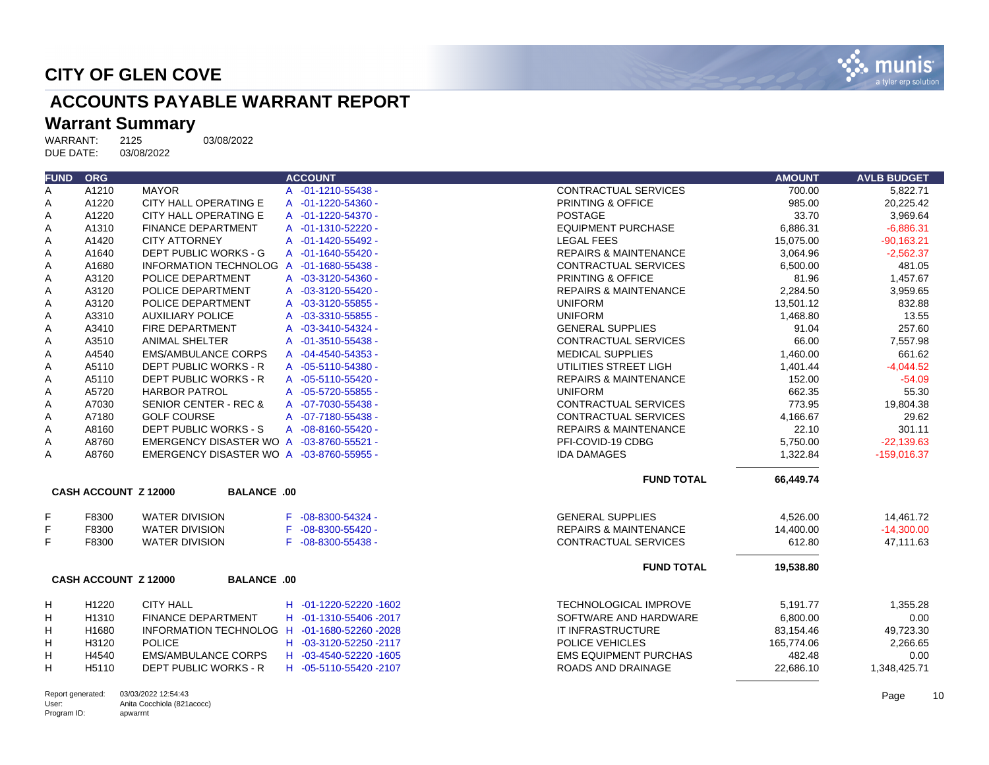

# **ACCOUNTS PAYABLE WARRANT REPORT**

# Warrant Summary<br>WARRANT: 2125

Program ID:

apwarrnt

2125 03/08/2022<br>03/08/2022 DUE DATE:

| <b>FUND</b>       | <b>ORG</b>                  |                                              | <b>ACCOUNT</b>               |                                  | <b>AMOUNT</b> | <b>AVLB BUDGET</b> |
|-------------------|-----------------------------|----------------------------------------------|------------------------------|----------------------------------|---------------|--------------------|
| Α                 | A1210                       | <b>MAYOR</b>                                 | A -01-1210-55438 -           | <b>CONTRACTUAL SERVICES</b>      | 700.00        | 5,822.71           |
| Α                 | A1220                       | CITY HALL OPERATING E                        | A -01-1220-54360 -           | PRINTING & OFFICE                | 985.00        | 20,225.42          |
| Α                 | A1220                       | <b>CITY HALL OPERATING E</b>                 | A -01-1220-54370 -           | <b>POSTAGE</b>                   | 33.70         | 3,969.64           |
| Α                 | A1310                       | <b>FINANCE DEPARTMENT</b>                    | A -01-1310-52220 -           | <b>EQUIPMENT PURCHASE</b>        | 6,886.31      | $-6,886.31$        |
| Α                 | A1420                       | <b>CITY ATTORNEY</b>                         | A -01-1420-55492 -           | <b>LEGAL FEES</b>                | 15,075.00     | $-90,163.21$       |
| Α                 | A1640                       | DEPT PUBLIC WORKS - G                        | A -01-1640-55420 -           | <b>REPAIRS &amp; MAINTENANCE</b> | 3,064.96      | $-2.562.37$        |
| Α                 | A1680                       | INFORMATION TECHNOLOG A -01-1680-55438 -     |                              | CONTRACTUAL SERVICES             | 6,500.00      | 481.05             |
| Α                 | A3120                       | POLICE DEPARTMENT                            | A -03-3120-54360 -           | PRINTING & OFFICE                | 81.96         | 1,457.67           |
| А                 | A3120                       | POLICE DEPARTMENT                            | A -03-3120-55420 -           | <b>REPAIRS &amp; MAINTENANCE</b> | 2,284.50      | 3,959.65           |
| Α                 | A3120                       | POLICE DEPARTMENT                            | A -03-3120-55855 -           | <b>UNIFORM</b>                   | 13,501.12     | 832.88             |
| Α                 | A3310                       | <b>AUXILIARY POLICE</b>                      | A -03-3310-55855 -           | <b>UNIFORM</b>                   | 1,468.80      | 13.55              |
| Α                 | A3410                       | FIRE DEPARTMENT                              | A -03-3410-54324 -           | <b>GENERAL SUPPLIES</b>          | 91.04         | 257.60             |
| Α                 | A3510                       | <b>ANIMAL SHELTER</b>                        | A -01-3510-55438 -           | CONTRACTUAL SERVICES             | 66.00         | 7,557.98           |
| Α                 | A4540                       | <b>EMS/AMBULANCE CORPS</b>                   | A -04-4540-54353 -           | <b>MEDICAL SUPPLIES</b>          | 1,460.00      | 661.62             |
| Α                 | A5110                       | DEPT PUBLIC WORKS - R                        | A -05-5110-54380 -           | UTILITIES STREET LIGH            | 1,401.44      | $-4.044.52$        |
| Α                 | A5110                       | DEPT PUBLIC WORKS - R                        | A -05-5110-55420 -           | <b>REPAIRS &amp; MAINTENANCE</b> | 152.00        | $-54.09$           |
| Α                 | A5720                       | <b>HARBOR PATROL</b>                         | A -05-5720-55855 -           | <b>UNIFORM</b>                   | 662.35        | 55.30              |
| Α                 | A7030                       | <b>SENIOR CENTER - REC &amp;</b>             | A -07-7030-55438 -           | <b>CONTRACTUAL SERVICES</b>      | 773.95        | 19,804.38          |
| Α                 | A7180                       | <b>GOLF COURSE</b>                           | A -07-7180-55438 -           | CONTRACTUAL SERVICES             | 4,166.67      | 29.62              |
| Α                 | A8160                       | <b>DEPT PUBLIC WORKS - S</b>                 | A -08-8160-55420 -           | <b>REPAIRS &amp; MAINTENANCE</b> | 22.10         | 301.11             |
| Α                 | A8760                       | EMERGENCY DISASTER WO A -03-8760-55521 -     |                              | PFI-COVID-19 CDBG                | 5,750.00      | $-22,139.63$       |
| Α                 | A8760                       | EMERGENCY DISASTER WO A -03-8760-55955 -     |                              | <b>IDA DAMAGES</b>               | 1,322.84      | $-159,016.37$      |
|                   |                             |                                              |                              | <b>FUND TOTAL</b>                | 66,449.74     |                    |
|                   | <b>CASH ACCOUNT Z 12000</b> | <b>BALANCE .00</b>                           |                              |                                  |               |                    |
| F                 | F8300                       | <b>WATER DIVISION</b>                        | $-08 - 8300 - 54324 -$<br>F. | <b>GENERAL SUPPLIES</b>          | 4,526.00      | 14,461.72          |
| F                 | F8300                       | <b>WATER DIVISION</b>                        | $-08 - 8300 - 55420 -$<br>F  | <b>REPAIRS &amp; MAINTENANCE</b> | 14,400.00     | $-14,300.00$       |
| F.                | F8300                       | <b>WATER DIVISION</b>                        | $-08 - 8300 - 55438 -$<br>F  | <b>CONTRACTUAL SERVICES</b>      | 612.80        | 47,111.63          |
|                   |                             |                                              |                              | <b>FUND TOTAL</b>                | 19,538.80     |                    |
|                   | <b>CASH ACCOUNT Z 12000</b> | <b>BALANCE .00</b>                           |                              |                                  |               |                    |
| н                 | H1220                       | <b>CITY HALL</b>                             | H -01-1220-52220-1602        | <b>TECHNOLOGICAL IMPROVE</b>     | 5,191.77      | 1,355.28           |
| н                 | H1310                       | <b>FINANCE DEPARTMENT</b>                    | H -01-1310-55406 -2017       | SOFTWARE AND HARDWARE            | 6,800.00      | 0.00               |
| Н                 | H1680                       | INFORMATION TECHNOLOG H -01-1680-52260 -2028 |                              | IT INFRASTRUCTURE                | 83,154.46     | 49,723.30          |
| н                 | H3120                       | <b>POLICE</b>                                | H -03-3120-52250 -2117       | POLICE VEHICLES                  | 165,774.06    | 2,266.65           |
| н                 | H4540                       | <b>EMS/AMBULANCE CORPS</b>                   | H -03-4540-52220 -1605       | <b>EMS EQUIPMENT PURCHAS</b>     | 482.48        | 0.00               |
| H                 | H5110                       | <b>DEPT PUBLIC WORKS - R</b>                 | H -05-5110-55420 -2107       | ROADS AND DRAINAGE               | 22,686.10     | 1,348,425.71       |
| Report generated: |                             | 03/03/2022 12:54:43                          |                              |                                  |               | Page<br>10         |
| User:             |                             | Anita Cocchiola (821acocc)                   |                              |                                  |               |                    |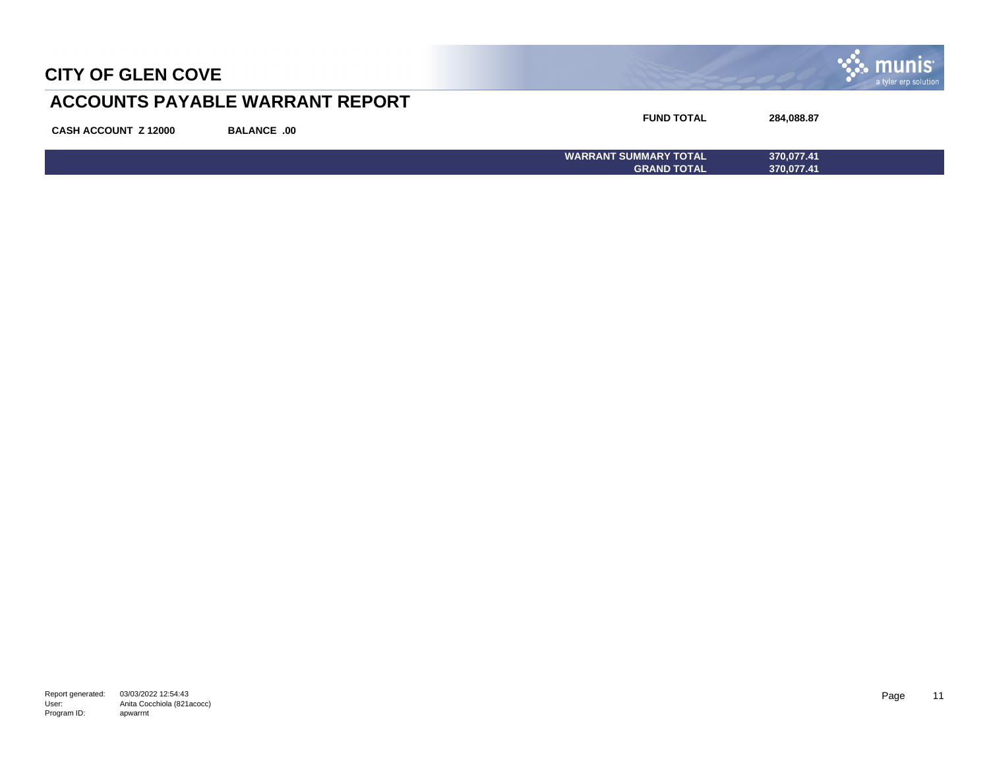

## **ACCOUNTS PAYABLE WARRANT REPORT**

| <b>CASH ACCOUNT Z 12000</b> | <b>BALANCE .00</b> | <b>FUND TOTAL</b>            | 284,088.87 |
|-----------------------------|--------------------|------------------------------|------------|
|                             |                    | <b>WARRANT SUMMARY TOTAL</b> | 370,077.41 |
|                             |                    | <b>GRAND TOTAL</b>           | 370,077.41 |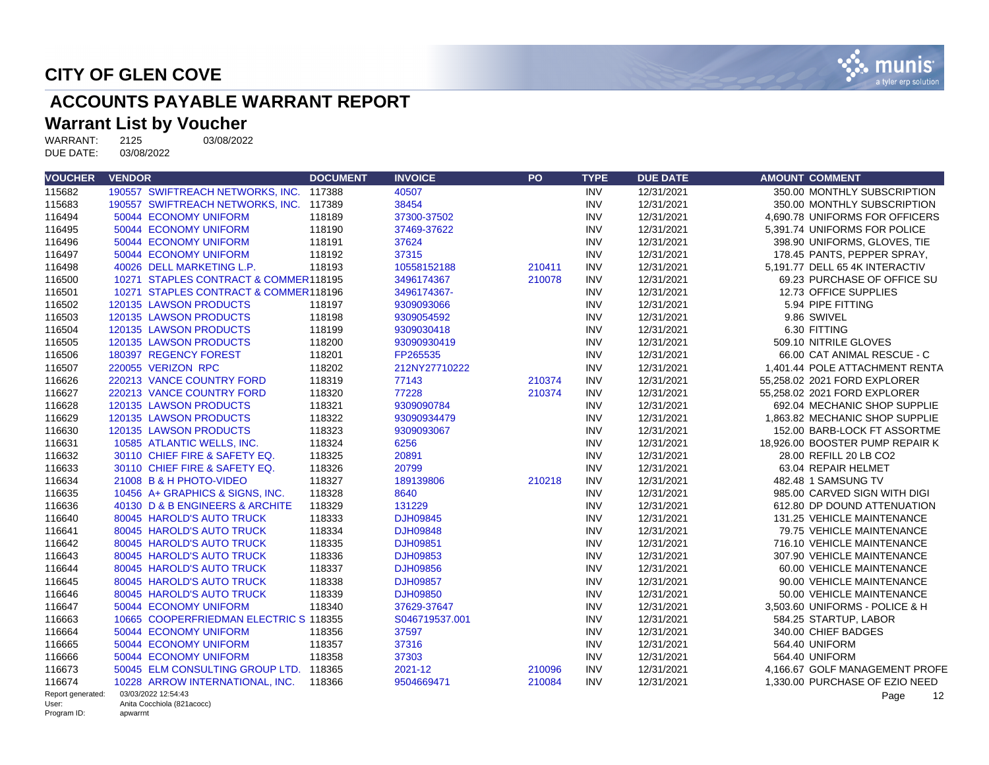

# **ACCOUNTS PAYABLE WARRANT REPORT**

# **Warrant List by Voucher**<br>WARRANT: 2125 03/08/2022

WARRANT: 2125<br>DUE DATE: 03/08/2022 DUE DATE:

| <b>VOUCHER</b>       | <b>VENDOR</b>                          | <b>DOCUMENT</b> | <b>INVOICE</b>  | PO     | <b>TYPE</b> | <b>DUE DATE</b> | <b>AMOUNT COMMENT</b>           |
|----------------------|----------------------------------------|-----------------|-----------------|--------|-------------|-----------------|---------------------------------|
| 115682               | 190557 SWIFTREACH NETWORKS, INC.       | 117388          | 40507           |        | <b>INV</b>  | 12/31/2021      | 350.00 MONTHLY SUBSCRIPTION     |
| 115683               | 190557 SWIFTREACH NETWORKS, INC.       | 117389          | 38454           |        | <b>INV</b>  | 12/31/2021      | 350.00 MONTHLY SUBSCRIPTION     |
| 116494               | 50044 ECONOMY UNIFORM                  | 118189          | 37300-37502     |        | <b>INV</b>  | 12/31/2021      | 4.690.78 UNIFORMS FOR OFFICERS  |
| 116495               | 50044 ECONOMY UNIFORM                  | 118190          | 37469-37622     |        | <b>INV</b>  | 12/31/2021      | 5,391.74 UNIFORMS FOR POLICE    |
| 116496               | 50044 ECONOMY UNIFORM                  | 118191          | 37624           |        | <b>INV</b>  | 12/31/2021      | 398.90 UNIFORMS, GLOVES, TIE    |
| 116497               | 50044 ECONOMY UNIFORM                  | 118192          | 37315           |        | <b>INV</b>  | 12/31/2021      | 178.45 PANTS, PEPPER SPRAY,     |
| 116498               | 40026 DELL MARKETING L.P.              | 118193          | 10558152188     | 210411 | <b>INV</b>  | 12/31/2021      | 5.191.77 DELL 65 4K INTERACTIV  |
| 116500               | 10271 STAPLES CONTRACT & COMMER118195  |                 | 3496174367      | 210078 | <b>INV</b>  | 12/31/2021      | 69.23 PURCHASE OF OFFICE SU     |
| 116501               | 10271 STAPLES CONTRACT & COMMER118196  |                 | 3496174367-     |        | <b>INV</b>  | 12/31/2021      | 12.73 OFFICE SUPPLIES           |
| 116502               | 120135 LAWSON PRODUCTS                 | 118197          | 9309093066      |        | <b>INV</b>  | 12/31/2021      | 5.94 PIPE FITTING               |
| 116503               | 120135 LAWSON PRODUCTS                 | 118198          | 9309054592      |        | <b>INV</b>  | 12/31/2021      | 9.86 SWIVEL                     |
| 116504               | 120135 LAWSON PRODUCTS                 | 118199          | 9309030418      |        | <b>INV</b>  | 12/31/2021      | 6.30 FITTING                    |
| 116505               | 120135 LAWSON PRODUCTS                 | 118200          | 93090930419     |        | <b>INV</b>  | 12/31/2021      | 509.10 NITRILE GLOVES           |
| 116506               | 180397 REGENCY FOREST                  | 118201          | FP265535        |        | <b>INV</b>  | 12/31/2021      | 66.00 CAT ANIMAL RESCUE - C     |
| 116507               | 220055 VERIZON RPC                     | 118202          | 212NY27710222   |        | <b>INV</b>  | 12/31/2021      | 1.401.44 POLE ATTACHMENT RENTA  |
| 116626               | 220213 VANCE COUNTRY FORD              | 118319          | 77143           | 210374 | <b>INV</b>  | 12/31/2021      | 55,258.02 2021 FORD EXPLORER    |
| 116627               | 220213 VANCE COUNTRY FORD              | 118320          | 77228           | 210374 | <b>INV</b>  | 12/31/2021      | 55,258.02 2021 FORD EXPLORER    |
| 116628               | 120135 LAWSON PRODUCTS                 | 118321          | 9309090784      |        | <b>INV</b>  | 12/31/2021      | 692.04 MECHANIC SHOP SUPPLIE    |
| 116629               | 120135 LAWSON PRODUCTS                 | 118322          | 93090934479     |        | <b>INV</b>  | 12/31/2021      | 1.863.82 MECHANIC SHOP SUPPLIE  |
| 116630               | 120135 LAWSON PRODUCTS                 | 118323          | 9309093067      |        | <b>INV</b>  | 12/31/2021      | 152.00 BARB-LOCK FT ASSORTME    |
| 116631               | 10585 ATLANTIC WELLS, INC.             | 118324          | 6256            |        | <b>INV</b>  | 12/31/2021      | 18,926.00 BOOSTER PUMP REPAIR K |
| 116632               | 30110 CHIEF FIRE & SAFETY EQ.          | 118325          | 20891           |        | <b>INV</b>  | 12/31/2021      | 28.00 REFILL 20 LB CO2          |
| 116633               | 30110 CHIEF FIRE & SAFETY EQ.          | 118326          | 20799           |        | <b>INV</b>  | 12/31/2021      | 63.04 REPAIR HELMET             |
| 116634               | 21008 B & H PHOTO-VIDEO                | 118327          | 189139806       | 210218 | <b>INV</b>  | 12/31/2021      | 482.48 1 SAMSUNG TV             |
| 116635               | 10456 A+ GRAPHICS & SIGNS, INC.        | 118328          | 8640            |        | <b>INV</b>  | 12/31/2021      | 985.00 CARVED SIGN WITH DIGI    |
| 116636               | 40130 D & B ENGINEERS & ARCHITE        | 118329          | 131229          |        | <b>INV</b>  | 12/31/2021      | 612.80 DP DOUND ATTENUATION     |
| 116640               | 80045 HAROLD'S AUTO TRUCK              | 118333          | DJH09845        |        | <b>INV</b>  | 12/31/2021      | 131.25 VEHICLE MAINTENANCE      |
| 116641               | 80045 HAROLD'S AUTO TRUCK              | 118334          | DJH09848        |        | <b>INV</b>  | 12/31/2021      | 79.75 VEHICLE MAINTENANCE       |
| 116642               | 80045 HAROLD'S AUTO TRUCK              | 118335          | DJH09851        |        | <b>INV</b>  | 12/31/2021      | 716.10 VEHICLE MAINTENANCE      |
| 116643               | 80045 HAROLD'S AUTO TRUCK              | 118336          | DJH09853        |        | <b>INV</b>  | 12/31/2021      | 307.90 VEHICLE MAINTENANCE      |
| 116644               | 80045 HAROLD'S AUTO TRUCK              | 118337          | <b>DJH09856</b> |        | <b>INV</b>  | 12/31/2021      | 60.00 VEHICLE MAINTENANCE       |
| 116645               | 80045 HAROLD'S AUTO TRUCK              | 118338          | <b>DJH09857</b> |        | <b>INV</b>  | 12/31/2021      | 90.00 VEHICLE MAINTENANCE       |
| 116646               | 80045 HAROLD'S AUTO TRUCK              | 118339          | <b>DJH09850</b> |        | <b>INV</b>  | 12/31/2021      | 50.00 VEHICLE MAINTENANCE       |
| 116647               | 50044 ECONOMY UNIFORM                  | 118340          | 37629-37647     |        | <b>INV</b>  | 12/31/2021      | 3.503.60 UNIFORMS - POLICE & H  |
| 116663               | 10665 COOPERFRIEDMAN ELECTRIC S 118355 |                 | S046719537.001  |        | <b>INV</b>  | 12/31/2021      | 584.25 STARTUP, LABOR           |
| 116664               | 50044 ECONOMY UNIFORM                  | 118356          | 37597           |        | <b>INV</b>  | 12/31/2021      | 340.00 CHIEF BADGES             |
| 116665               | 50044 ECONOMY UNIFORM                  | 118357          | 37316           |        | <b>INV</b>  | 12/31/2021      | 564.40 UNIFORM                  |
| 116666               | 50044 ECONOMY UNIFORM                  | 118358          | 37303           |        | <b>INV</b>  | 12/31/2021      | 564.40 UNIFORM                  |
| 116673               | 50045 ELM CONSULTING GROUP LTD.        | 118365          | 2021-12         | 210096 | <b>INV</b>  | 12/31/2021      | 4.166.67 GOLF MANAGEMENT PROFE  |
| 116674               | 10228 ARROW INTERNATIONAL, INC.        | 118366          | 9504669471      | 210084 | <b>INV</b>  | 12/31/2021      | 1.330.00 PURCHASE OF EZIO NEED  |
| Report generated:    | 03/03/2022 12:54:43                    |                 |                 |        |             |                 | Page<br>12                      |
| User:<br>Program ID: | Anita Cocchiola (821acocc)<br>apwarrnt |                 |                 |        |             |                 |                                 |

Program ID: